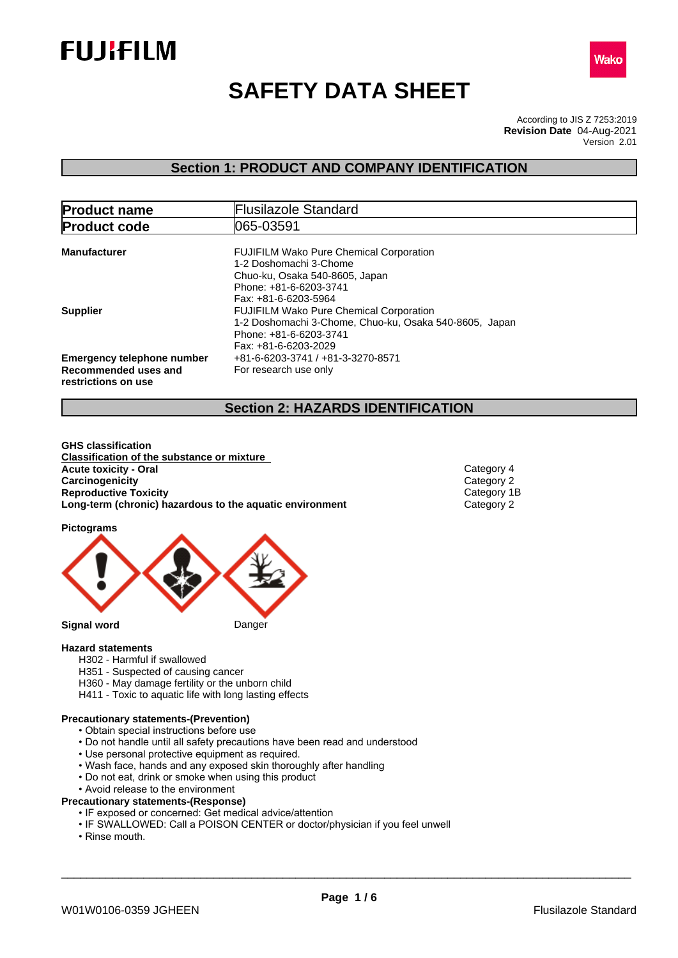



# **SAFETY DATA SHEET**

According to JIS Z 7253:2019 Version 2.01 **Revision Date** 04-Aug-2021

## **Section 1: PRODUCT AND COMPANY IDENTIFICATION**

| <b>Product name</b>                                                              | <b>Flusilazole Standard</b>                                                                                                                                  |
|----------------------------------------------------------------------------------|--------------------------------------------------------------------------------------------------------------------------------------------------------------|
| <b>Product code</b>                                                              | 1065-03591                                                                                                                                                   |
| <b>Manufacturer</b>                                                              | <b>FUJIFILM Wako Pure Chemical Corporation</b><br>1-2 Doshomachi 3-Chome<br>Chuo-ku, Osaka 540-8605, Japan<br>Phone: +81-6-6203-3741<br>Fax: +81-6-6203-5964 |
| <b>Supplier</b>                                                                  | <b>FUJIFILM Wako Pure Chemical Corporation</b><br>1-2 Doshomachi 3-Chome, Chuo-ku, Osaka 540-8605, Japan<br>Phone: +81-6-6203-3741<br>Fax: +81-6-6203-2029   |
| <b>Emergency telephone number</b><br>Recommended uses and<br>restrictions on use | +81-6-6203-3741 / +81-3-3270-8571<br>For research use only                                                                                                   |

### **Section 2: HAZARDS IDENTIFICATION**

**GHS classification Classification of the substance or mixture Acute toxicity - Oral** Category 4 **Carcinogenicity** Category 2<br> **Category 2**<br> **Category 1B**<br>
Category 1B **Reproductive Toxicity**<br> **Long-term (chronic) hazardous to the aquatic environment** Category 2 **Long-term (chronic)** hazardous to the aquatic environment

**Pictograms**



#### **Hazard statements**

- H302 Harmful if swallowed
- H351 Suspected of causing cancer
- H360 May damage fertility or the unborn child
- H411 Toxic to aquatic life with long lasting effects

#### **Precautionary statements-(Prevention)**

- Obtain special instructions before use
- Do not handle until all safety precautions have been read and understood
- Use personal protective equipment as required.
- Wash face, hands and any exposed skin thoroughly after handling
- Do not eat, drink or smoke when using this product
- Avoid release to the environment

#### **Precautionary statements-(Response)**

- IF exposed or concerned: Get medical advice/attention
- IF SWALLOWED: Call a POISON CENTER or doctor/physician if you feel unwell
- Rinse mouth.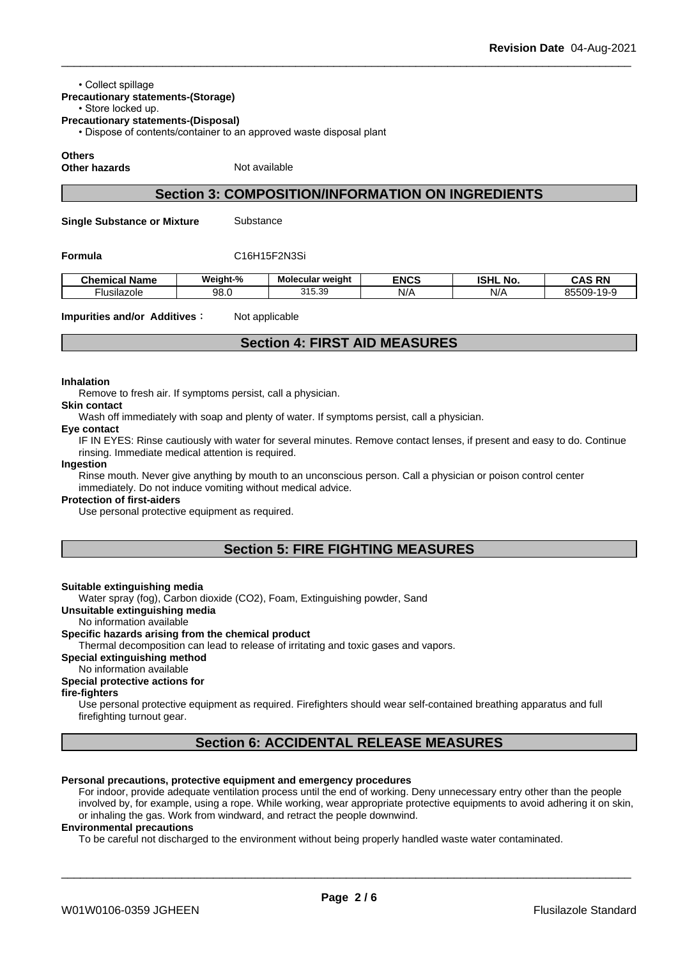#### • Collect spillage

**Precautionary statements-(Storage)**

#### • Store locked up. **Precautionary statements-(Disposal)**

• Dispose of contents/container to an approved waste disposal plant

**Others**

**Other hazards** Not available

### **Section 3: COMPOSITION/INFORMATION ON INGREDIENTS**

**Single Substance or Mixture** Substance

#### **Formula** C16H15F2N3Si

| $\sim$ $\sim$<br><b>Chemical</b><br>Name | Weight-% | --<br>Molecular weight | <b>ENCS</b> | <b>ISHL</b><br>. .<br>No. | <b>RN</b><br>$\sim$<br>'N.<br>uno |
|------------------------------------------|----------|------------------------|-------------|---------------------------|-----------------------------------|
| <br>Husilazole                           | 98.0     | 315.30<br>ن ټري او     | N/r         | N/F                       | 85509<br>$\sim$                   |

#### **Impurities and/or Additives**: Not applicable

### **Section 4: FIRST AID MEASURES**

#### **Inhalation**

Remove to fresh air. If symptoms persist, call a physician.

### **Skin contact**

Wash off immediately with soap and plenty of water. If symptoms persist, call a physician.

#### **Eye contact**

IF IN EYES: Rinse cautiously with water for several minutes. Remove contact lenses, if present and easy to do. Continue rinsing. Immediate medical attention is required.

#### **Ingestion**

Rinse mouth. Never give anything by mouth to an unconscious person. Call a physician or poison control center immediately. Do not induce vomiting without medical advice.

#### **Protection of first-aiders**

Use personal protective equipment as required.

### **Section 5: FIRE FIGHTING MEASURES**

#### **Suitable extinguishing media**

Water spray (fog), Carbon dioxide (CO2), Foam, Extinguishing powder, Sand

#### **Unsuitable extinguishing media**

#### No information available

#### **Specific hazards arising from the chemical product**

Thermal decomposition can lead to release of irritating and toxic gases and vapors.

#### **Special extinguishing method**

No information available

### **Special protective actions for**

#### **fire-fighters**

Use personal protective equipment as required. Firefighters should wear self-contained breathing apparatus and full firefighting turnout gear.

## **Section 6: ACCIDENTAL RELEASE MEASURES**

#### **Personal precautions, protective equipment and emergency procedures**

For indoor, provide adequate ventilation process until the end of working. Deny unnecessary entry other than the people involved by, for example, using a rope. While working, wear appropriate protective equipments to avoid adhering it on skin, or inhaling the gas. Work from windward, and retract the people downwind.

#### **Environmental precautions**

To be careful not discharged to the environment without being properly handled waste water contaminated.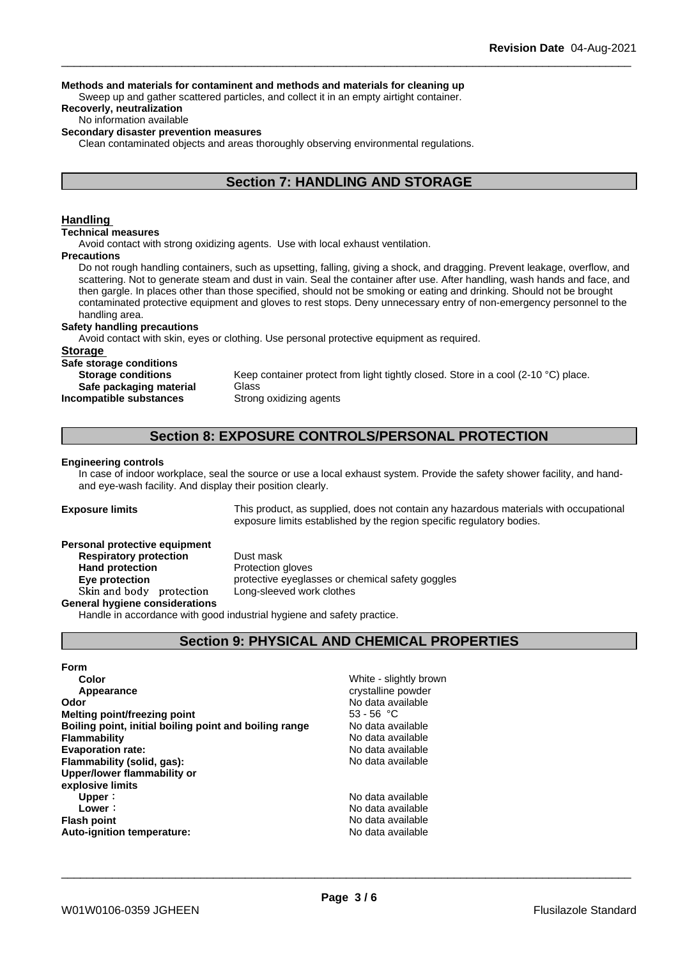#### **Methods and materials for contaminent and methods and materials for cleaning up**

Sweep up and gather scattered particles, and collect it in an empty airtight container.

**Recoverly, neutralization**

#### No information available

#### **Secondary disaster prevention measures**

Clean contaminated objects and areas thoroughly observing environmental regulations.

### **Section 7: HANDLING AND STORAGE**

#### **Handling**

#### **Technical measures**

Avoid contact with strong oxidizing agents. Use with local exhaust ventilation.

#### **Precautions**

Do not rough handling containers, such as upsetting, falling, giving a shock, and dragging. Prevent leakage, overflow, and scattering. Not to generate steam and dust in vain. Seal the container after use. After handling, wash hands and face, and then gargle. In places other than those specified, should not be smoking or eating and drinking. Should not be brought contaminated protective equipment and gloves to rest stops. Deny unnecessary entry of non-emergency personnel to the handling area.

### **Safety handling precautions**

Avoid contact with skin, eyes or clothing. Use personal protective equipment as required.

#### **Storage**

**Safe storage conditions**

**Safe packaging material** Glass **Incompatible substances** Strong oxidizing agents

**Storage conditions** Keep container protect from light tightly closed. Store in a cool (2-10 °C) place.

### **Section 8: EXPOSURE CONTROLS/PERSONAL PROTECTION**

#### **Engineering controls**

In case of indoor workplace, seal the source or use a local exhaust system. Provide the safety shower facility, and handand eye-wash facility. And display their position clearly.

**Exposure limits** This product, as supplied, does not contain any hazardous materials with occupational exposure limits established by the region specific regulatory bodies.

#### **Personal protective equipment**

**Respiratory protection** Dust mask **Hand protection** Protection gloves Skin and body protection

**Eye protection** protective eyeglasses or chemical safety goggles<br>
Skin and body protection Long-sleeved work clothes

#### **General hygiene considerations**

Handle in accordance with good industrial hygiene and safety practice.

## **Section 9: PHYSICAL AND CHEMICAL PROPERTIES**

**Form Color Color Color Color Color Color Color Color Color Color Color Color Color Color Color Color Color Color Color Color Color Color Color Color Color Color Color Color Appearance** crystalline powder **Odor Odor** No data available<br> **Melting point/freezing point Community Community Community Community Community Community Community Community Community Community Community Community Community C Melting point/freezing point**<br>**Boiling point, initial boiling point and boiling range** Modata available **Boiling point, initial boiling point and boiling range Flammability No data available No data available Evaporation rate:** No data available **Flammability (solid, gas):** No data available **Upper/lower flammability or explosive limits Upper**: No data available **Lower**: **No data available No data available Flash point No data available No data available Auto-ignition temperature:** No data available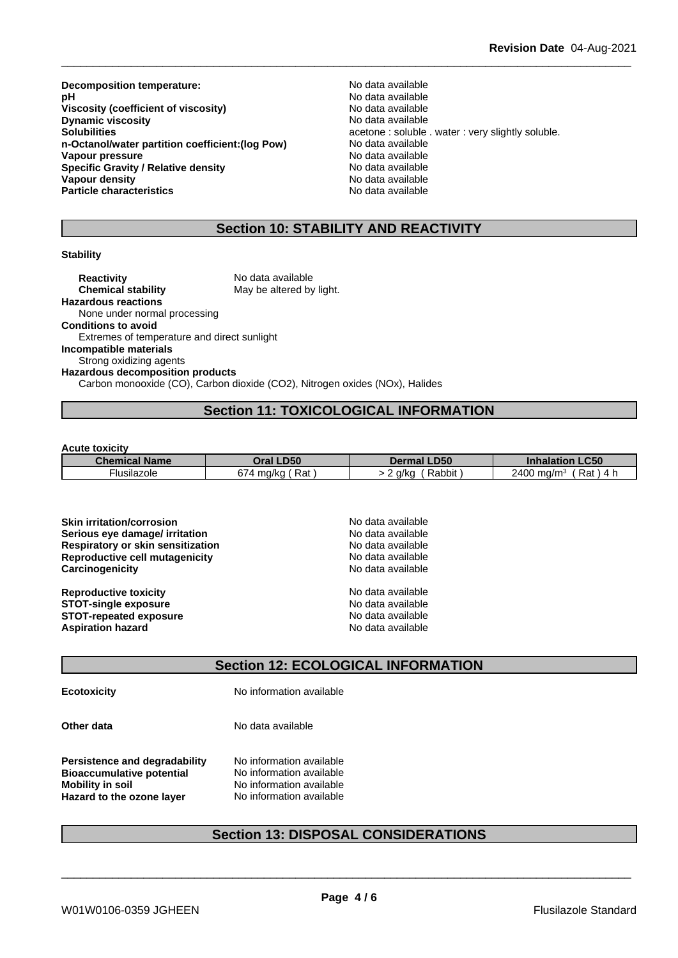**Decomposition temperature:**<br> **pH** No data available<br>
No data available **Viscosity** (coefficient of viscosity) **Dynamic viscosity**<br> **Solubilities**<br> **Solubilities**<br> **Solubilities n-Octanol/water partition coefficient:(log Pow) Vapour pressure**<br> **Specific Gravity / Relative density**<br>
Specific Gravity / Relative density<br>  $\frac{1}{2}$  Mo data available **Specific Gravity / Relative density Vapour density No data available Particle characteristics** No data available

No data available<br>No data available acetone : soluble . water : very slightly soluble.<br>No data available

### **Section 10: STABILITY AND REACTIVITY**

#### **Stability**

**Reactivity** No data available **Chemical stability** May be altered by light. **Hazardous reactions** None under normal processing **Conditions to avoid** Extremes of temperature and direct sunlight **Incompatible materials** Strong oxidizing agents **Hazardous decomposition products** Carbon monooxide (CO), Carbon dioxide (CO2), Nitrogen oxides (NOx), Halides

### **Section 11: TOXICOLOGICAL INFORMATION**

**Acute toxicity**

| <b>Chemical Name</b> | <b>LD50</b><br>Dral   | <b>LD50</b><br>Dermal | <b>Inhalation LC50</b>                                   |
|----------------------|-----------------------|-----------------------|----------------------------------------------------------|
| -lusilazole          | 674<br>Rat<br>. ma/ka | Rabbit<br>a/ka<br>ы.  | 2400<br>Rat<br>$\lq$ ma/m $\lq$<br>$^{\prime}$ $\Lambda$ |

| <b>Skin irritation/corrosion</b>         | No data available |
|------------------------------------------|-------------------|
| Serious eye damage/ irritation           | No data available |
| <b>Respiratory or skin sensitization</b> | No data available |
| Reproductive cell mutagenicity           | No data available |
| Carcinogenicity                          | No data available |
| <b>Reproductive toxicity</b>             | No data available |
| <b>STOT-single exposure</b>              | No data available |
| <b>STOT-repeated exposure</b>            | No data available |
| <b>Aspiration hazard</b>                 | No data available |

## **Section 12: ECOLOGICAL INFORMATION**

**Ecotoxicity** No information available

**Other data** No data available

**Persistence and degradability** No information available<br>**Bioaccumulative potential** No information available **Bioaccumulative potential Mobility in soil** No information available **Hazard to the ozone layer** No information available

### **Section 13: DISPOSAL CONSIDERATIONS**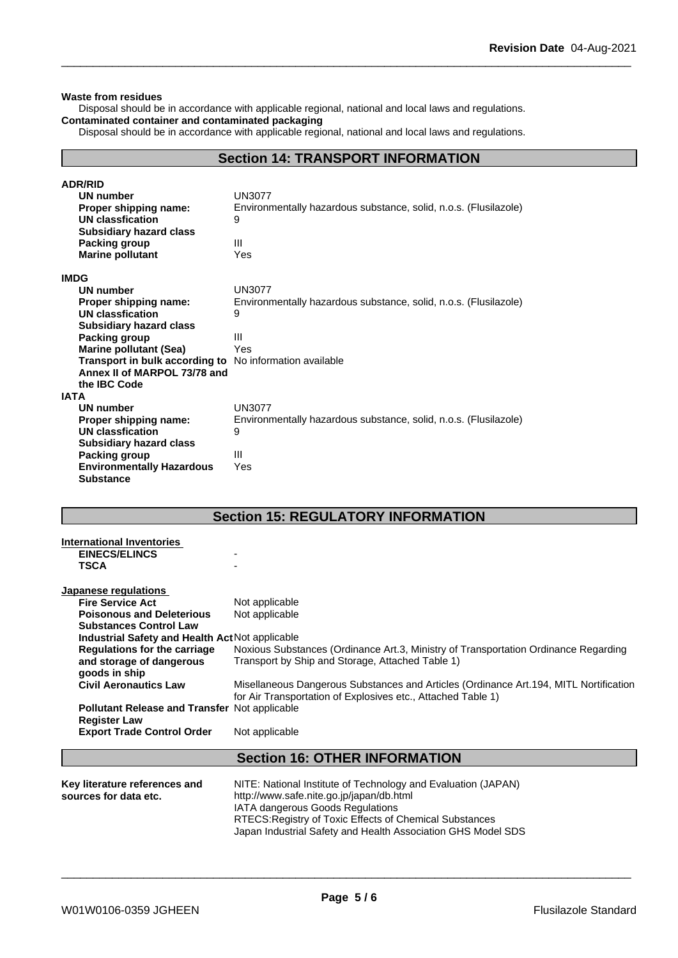#### **Waste from residues**

Disposal should be in accordance with applicable regional, national and local laws and regulations. **Contaminated container and contaminated packaging**

Disposal should be in accordance with applicable regional, national and local laws and regulations.

### **Section 14: TRANSPORT INFORMATION**

| <b>ADR/RID</b>                                          |                                                                  |
|---------------------------------------------------------|------------------------------------------------------------------|
| <b>UN number</b>                                        | <b>UN3077</b>                                                    |
| Proper shipping name:                                   | Environmentally hazardous substance, solid, n.o.s. (Flusilazole) |
| <b>UN classfication</b>                                 | 9                                                                |
| <b>Subsidiary hazard class</b>                          |                                                                  |
| Packing group                                           | Ш                                                                |
| <b>Marine pollutant</b>                                 | Yes                                                              |
| <b>IMDG</b>                                             |                                                                  |
| UN number                                               | <b>UN3077</b>                                                    |
| Proper shipping name:                                   | Environmentally hazardous substance, solid, n.o.s. (Flusilazole) |
| <b>UN classfication</b>                                 | 9                                                                |
| <b>Subsidiary hazard class</b>                          |                                                                  |
| Packing group                                           | Ш                                                                |
| <b>Marine pollutant (Sea)</b>                           | Yes                                                              |
| Transport in bulk according to No information available |                                                                  |
| Annex II of MARPOL 73/78 and                            |                                                                  |
| the IBC Code                                            |                                                                  |
| <b>IATA</b>                                             |                                                                  |
| <b>UN number</b>                                        | <b>UN3077</b>                                                    |
| Proper shipping name:                                   | Environmentally hazardous substance, solid, n.o.s. (Flusilazole) |
| UN classfication                                        | 9                                                                |
| <b>Subsidiary hazard class</b>                          |                                                                  |
| Packing group                                           | Ш                                                                |
| <b>Environmentally Hazardous</b>                        | Yes                                                              |
| <b>Substance</b>                                        |                                                                  |

### **Section 15: REGULATORY INFORMATION**

| <b>International Inventories</b><br><b>EINECS/ELINCS</b><br><b>TSCA</b>          |                                                                                                                                                        |
|----------------------------------------------------------------------------------|--------------------------------------------------------------------------------------------------------------------------------------------------------|
| Japanese regulations                                                             |                                                                                                                                                        |
| <b>Fire Service Act</b>                                                          | Not applicable                                                                                                                                         |
| <b>Poisonous and Deleterious</b><br><b>Substances Control Law</b>                | Not applicable                                                                                                                                         |
| Industrial Safety and Health Act Not applicable                                  |                                                                                                                                                        |
| <b>Regulations for the carriage</b><br>and storage of dangerous<br>goods in ship | Noxious Substances (Ordinance Art.3, Ministry of Transportation Ordinance Regarding<br>Transport by Ship and Storage, Attached Table 1)                |
| <b>Civil Aeronautics Law</b>                                                     | Misellaneous Dangerous Substances and Articles (Ordinance Art. 194, MITL Nortification<br>for Air Transportation of Explosives etc., Attached Table 1) |
| <b>Pollutant Release and Transfer Not applicable</b><br><b>Register Law</b>      |                                                                                                                                                        |
| <b>Export Trade Control Order</b>                                                | Not applicable                                                                                                                                         |
|                                                                                  |                                                                                                                                                        |
|                                                                                  | <b>Section 16: OTHER INFORMATION</b>                                                                                                                   |